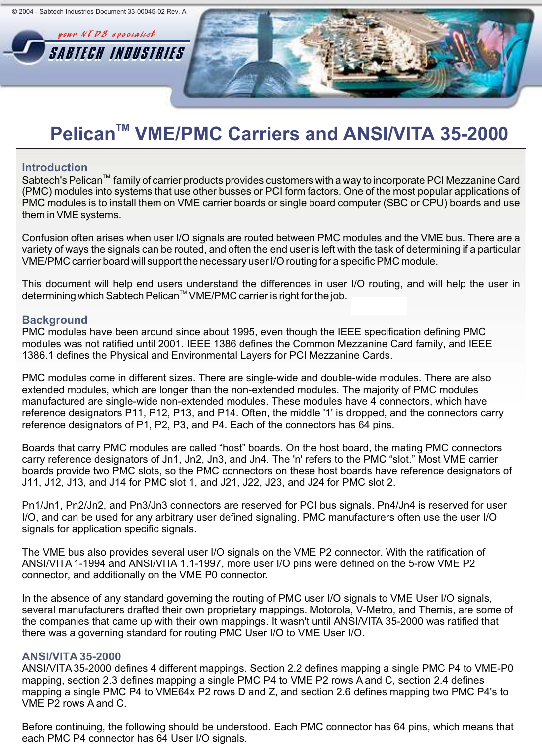

#### **Introduction**

Sabtech's Pelican<sup>TM</sup> family of carrier products provides customers with a way to incorporate PCI Mezzanine Card (PMC) modules into systems that use other busses or PCI form factors. One of the most popular applications of PMC modules is to install them on VME carrier boards or single board computer (SBC or CPU) boards and use them in VME systems.

Confusion often arises when user I/O signals are routed between PMC modules and the VME bus. There are a variety of ways the signals can be routed, and often the end user is left with the task of determining if a particular VME/PMC carrier board will support the necessary user I/O routing for a specific PMC module.

This document will help end users understand the differences in user I/O routing, and will help the user in determining which Sabtech Pelican™ VME/PMC carrier is right for the job.

#### **Background**

PMC modules have been around since about 1995, even though the IEEE specification defining PMC modules was not ratified until 2001. IEEE 1386 defines the Common Mezzanine Card family, and IEEE 1386.1 defines the Physical and Environmental Layers for PCI Mezzanine Cards.

PMC modules come in different sizes. There are single-wide and double-wide modules. There are also extended modules, which are longer than the non-extended modules. The majority of PMC modules manufactured are single-wide non-extended modules. These modules have 4 connectors, which have reference designators P11, P12, P13, and P14. Often, the middle '1' is dropped, and the connectors carry reference designators of P1, P2, P3, and P4. Each of the connectors has 64 pins.

Boards that carry PMC modules are called "host" boards. On the host board, the mating PMC connectors carry reference designators of Jn1, Jn2, Jn3, and Jn4. The 'n' refers to the PMC "slot." Most VME carrier boards provide two PMC slots, so the PMC connectors on these host boards have reference designators of J11, J12, J13, and J14 for PMC slot 1, and J21, J22, J23, and J24 for PMC slot 2.

Pn1/Jn1, Pn2/Jn2, and Pn3/Jn3 connectors are reserved for PCI bus signals. Pn4/Jn4 is reserved for user I/O, and can be used for any arbitrary user defined signaling. PMC manufacturers often use the user I/O signals for application specific signals.

The VME bus also provides several user I/O signals on the VME P2 connector. With the ratification of ANSI/VITA 1-1994 and ANSI/VITA 1.1-1997, more user I/O pins were defined on the 5-row VME P2 connector, and additionally on the VME P0 connector.

In the absence of any standard governing the routing of PMC user I/O signals to VME User I/O signals, several manufacturers drafted their own proprietary mappings. Motorola, V-Metro, and Themis, are some of the companies that came up with their own mappings. It wasn't until ANSI/VITA 35-2000 was ratified that there was a governing standard for routing PMC User I/O to VME User I/O.

### **ANSI/VITA 35-2000**

ANSI/VITA 35-2000 defines 4 different mappings. Section 2.2 defines mapping a single PMC P4 to VME-P0 mapping, section 2.3 defines mapping a single PMC P4 to VME P2 rows A and C, section 2.4 defines mapping a single PMC P4 to VME64x P2 rows D and Z, and section 2.6 defines mapping two PMC P4's to VME P2 rows A and C.

Before continuing, the following should be understood. Each PMC connector has 64 pins, which means that each PMC P4 connector has 64 User I/O signals.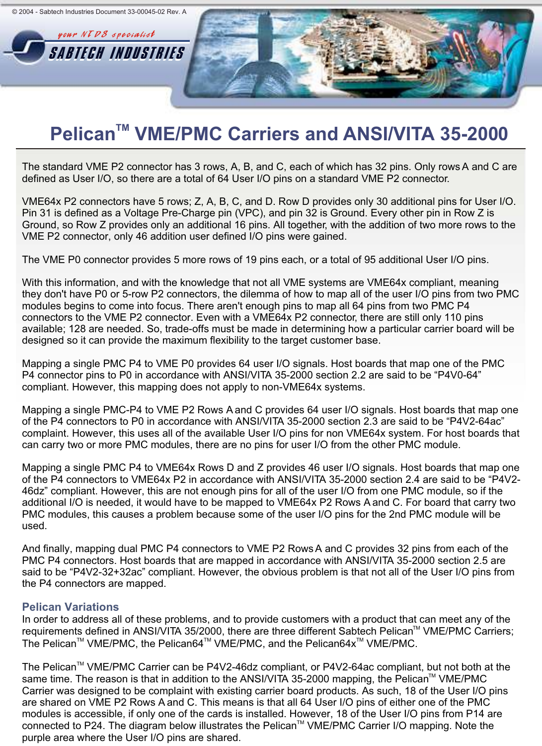

The standard VME P2 connector has 3 rows, A, B, and C, each of which has 32 pins. Only rows A and C are defined as User I/O, so there are a total of 64 User I/O pins on a standard VME P2 connector.

VME64x P2 connectors have 5 rows; Z, A, B, C, and D. Row D provides only 30 additional pins for User I/O. Pin 31 is defined as a Voltage Pre-Charge pin (VPC), and pin 32 is Ground. Every other pin in Row Z is Ground, so Row Z provides only an additional 16 pins. All together, with the addition of two more rows to the VME P2 connector, only 46 addition user defined I/O pins were gained.

The VME P0 connector provides 5 more rows of 19 pins each, or a total of 95 additional User I/O pins.

With this information, and with the knowledge that not all VME systems are VME64x compliant, meaning they don't have P0 or 5-row P2 connectors, the dilemma of how to map all of the user I/O pins from two PMC modules begins to come into focus. There aren't enough pins to map all 64 pins from two PMC P4 connectors to the VME P2 connector. Even with a VME64x P2 connector, there are still only 110 pins available; 128 are needed. So, trade-offs must be made in determining how a particular carrier board will be designed so it can provide the maximum flexibility to the target customer base.

Mapping a single PMC P4 to VME P0 provides 64 user I/O signals. Host boards that map one of the PMC P4 connector pins to P0 in accordance with ANSI/VITA 35-2000 section 2.2 are said to be "P4V0-64" compliant. However, this mapping does not apply to non-VME64x systems.

Mapping a single PMC-P4 to VME P2 Rows A and C provides 64 user I/O signals. Host boards that map one of the P4 connectors to P0 in accordance with ANSI/VITA 35-2000 section 2.3 are said to be "P4V2-64ac" complaint. However, this uses all of the available User I/O pins for non VME64x system. For host boards that can carry two or more PMC modules, there are no pins for user I/O from the other PMC module.

Mapping a single PMC P4 to VME64x Rows D and Z provides 46 user I/O signals. Host boards that map one of the P4 connectors to VME64x P2 in accordance with ANSI/VITA 35-2000 section 2.4 are said to be "P4V2- 46dz" compliant. However, this are not enough pins for all of the user I/O from one PMC module, so if the additional I/O is needed, it would have to be mapped to VME64x P2 Rows A and C. For board that carry two PMC modules, this causes a problem because some of the user I/O pins for the 2nd PMC module will be used.

And finally, mapping dual PMC P4 connectors to VME P2 Rows A and C provides 32 pins from each of the PMC P4 connectors. Host boards that are mapped in accordance with ANSI/VITA 35-2000 section 2.5 are said to be "P4V2-32+32ac" compliant. However, the obvious problem is that not all of the User I/O pins from the P4 connectors are mapped.

### **Pelican Variations**

In order to address all of these problems, and to provide customers with a product that can meet any of the requirements defined in ANSI/VITA 35/2000, there are three different Sabtech Pelican™ VME/PMC Carriers; The Pelican<sup>™</sup> VME/PMC, the Pelican64<sup>™</sup> VME/PMC, and the Pelican64x<sup>™</sup> VME/PMC.

The Pelican<sup> $M$ </sup> VME/PMC Carrier can be P4V2-46dz compliant, or P4V2-64ac compliant, but not both at the same time. The reason is that in addition to the ANSI/VITA 35-2000 mapping, the Pelican™ VME/PMC Carrier was designed to be complaint with existing carrier board products. As such, 18 of the User I/O pins are shared on VME P2 Rows A and C. This means is that all 64 User I/O pins of either one of the PMC modules is accessible, if only one of the cards is installed. However, 18 of the User I/O pins from P14 are connected to P24. The diagram below illustrates the Pelican™ VME/PMC Carrier I/O mapping. Note the purple area where the User I/O pins are shared.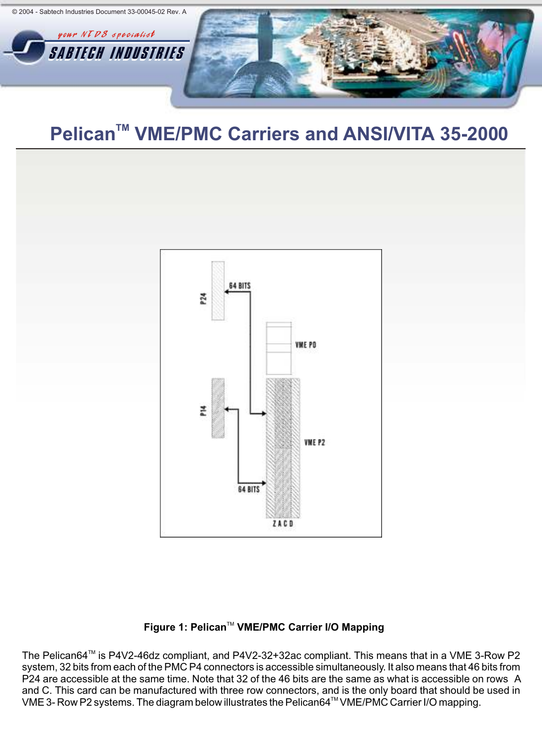



### Figure 1: Pelican<sup>™</sup> VME/PMC Carrier I/O Mapping

The Pelican64<sup>™</sup> is P4V2-46dz compliant, and P4V2-32+32ac compliant. This means that in a VME 3-Row P2 system, 32 bits from each of the PMC P4 connectors is accessible simultaneously. It also means that 46 bits from P24 are accessible at the same time. Note that 32 of the 46 bits are the same as what is accessible on rows A and C. This card can be manufactured with three row connectors, and is the only board that should be used in The Commodellation of the diagram below illustrates the Pelican64<sup>TM</sup> VME/PMC Carrier I/O mapping.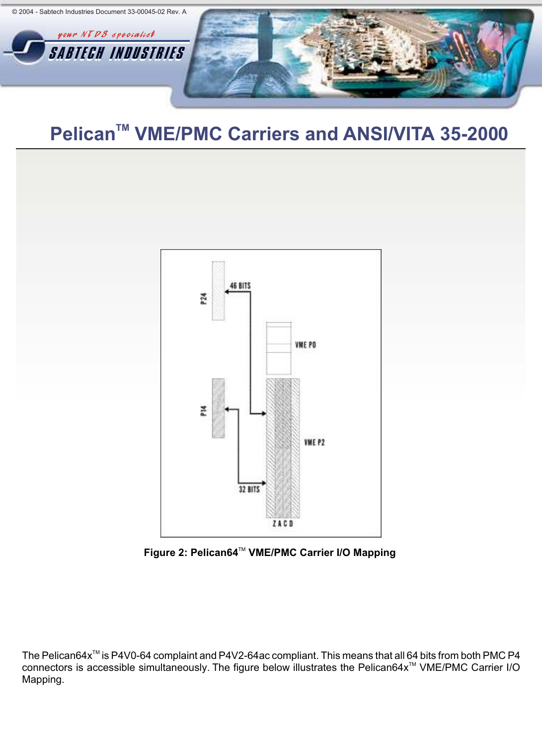



Figure 2: Pelican64<sup>™</sup> VME/PMC Carrier I/O Mapping

The Pelican64x<sup>™</sup> is P4V0-64 complaint and P4V2-64ac compliant. This means that all 64 bits from both PMC P4 connectors is accessible simultaneously. The figure below illustrates the Pelican64x<sup>™</sup> VME/PMC Carrier I/O Mapping.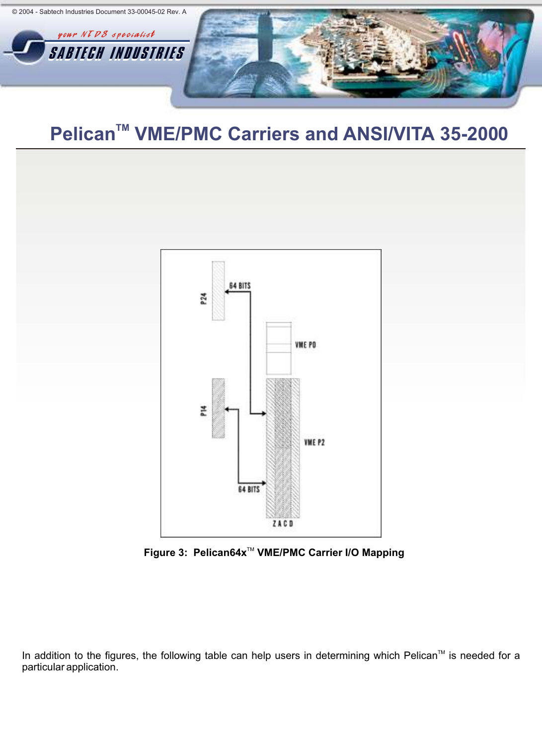



Figure 3: Pelican64x<sup>™</sup> VME/PMC Carrier I/O Mapping

In addition to the figures, the following table can help users in determining which Pelican™ is needed for a particular application.